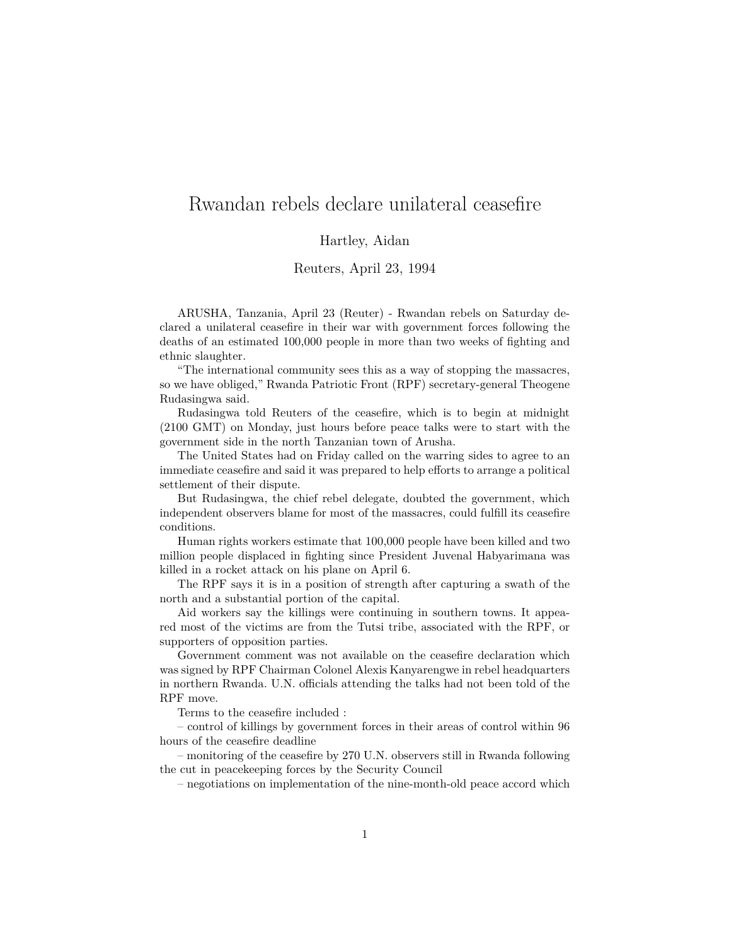## Rwandan rebels declare unilateral ceasefire

## Hartley, Aidan

## Reuters, April 23, 1994

ARUSHA, Tanzania, April 23 (Reuter) - Rwandan rebels on Saturday declared a unilateral ceasefire in their war with government forces following the deaths of an estimated 100,000 people in more than two weeks of fighting and ethnic slaughter.

"The international community sees this as a way of stopping the massacres, so we have obliged," Rwanda Patriotic Front (RPF) secretary-general Theogene Rudasingwa said.

Rudasingwa told Reuters of the ceasefire, which is to begin at midnight (2100 GMT) on Monday, just hours before peace talks were to start with the government side in the north Tanzanian town of Arusha.

The United States had on Friday called on the warring sides to agree to an immediate ceasefire and said it was prepared to help efforts to arrange a political settlement of their dispute.

But Rudasingwa, the chief rebel delegate, doubted the government, which independent observers blame for most of the massacres, could fulfill its ceasefire conditions.

Human rights workers estimate that 100,000 people have been killed and two million people displaced in fighting since President Juvenal Habyarimana was killed in a rocket attack on his plane on April 6.

The RPF says it is in a position of strength after capturing a swath of the north and a substantial portion of the capital.

Aid workers say the killings were continuing in southern towns. It appeared most of the victims are from the Tutsi tribe, associated with the RPF, or supporters of opposition parties.

Government comment was not available on the ceasefire declaration which was signed by RPF Chairman Colonel Alexis Kanyarengwe in rebel headquarters in northern Rwanda. U.N. officials attending the talks had not been told of the RPF move.

Terms to the ceasefire included :

– control of killings by government forces in their areas of control within 96 hours of the ceasefire deadline

– monitoring of the ceasefire by 270 U.N. observers still in Rwanda following the cut in peacekeeping forces by the Security Council

– negotiations on implementation of the nine-month-old peace accord which